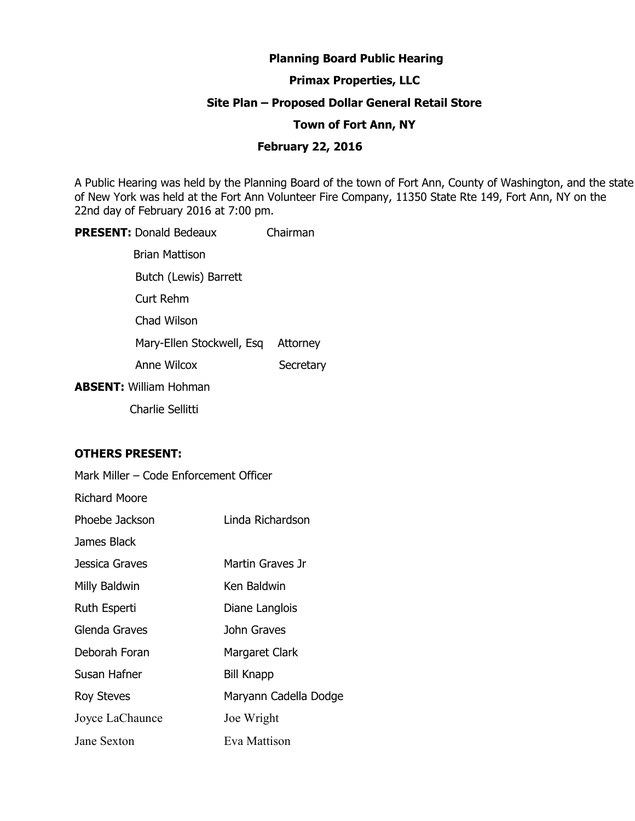# **Planning Board Public Hearing**

# **Primax Properties, LLC**

### **Site Plan – Proposed Dollar General Retail Store**

#### **Town of Fort Ann, NY**

### **February 22, 2016**

A Public Hearing was held by the Planning Board of the town of Fort Ann, County of Washington, and the state of New York was held at the Fort Ann Volunteer Fire Company, 11350 State Rte 149, Fort Ann, NY on the 22nd day of February 2016 at 7:00 pm.

**PRESENT:** Donald Bedeaux Chairman Brian Mattison Butch (Lewis) Barrett Curt Rehm Chad Wilson Mary-Ellen Stockwell, Esq Attorney Anne Wilcox Secretary

**ABSENT:** William Hohman

Charlie Sellitti

### **OTHERS PRESENT:**

| Mark Miller - Code Enforcement Officer |                       |
|----------------------------------------|-----------------------|
| <b>Richard Moore</b>                   |                       |
| Phoebe Jackson                         | Linda Richardson      |
| James Black                            |                       |
| Jessica Graves                         | Martin Graves Jr      |
| Milly Baldwin                          | Ken Baldwin           |
| Ruth Esperti                           | Diane Langlois        |
| Glenda Graves                          | John Graves           |
| Deborah Foran                          | Margaret Clark        |
| Susan Hafner                           | <b>Bill Knapp</b>     |
| Roy Steves                             | Maryann Cadella Dodge |
| Joyce LaChaunce                        | Joe Wright            |
| Jane Sexton                            | Eva Mattison          |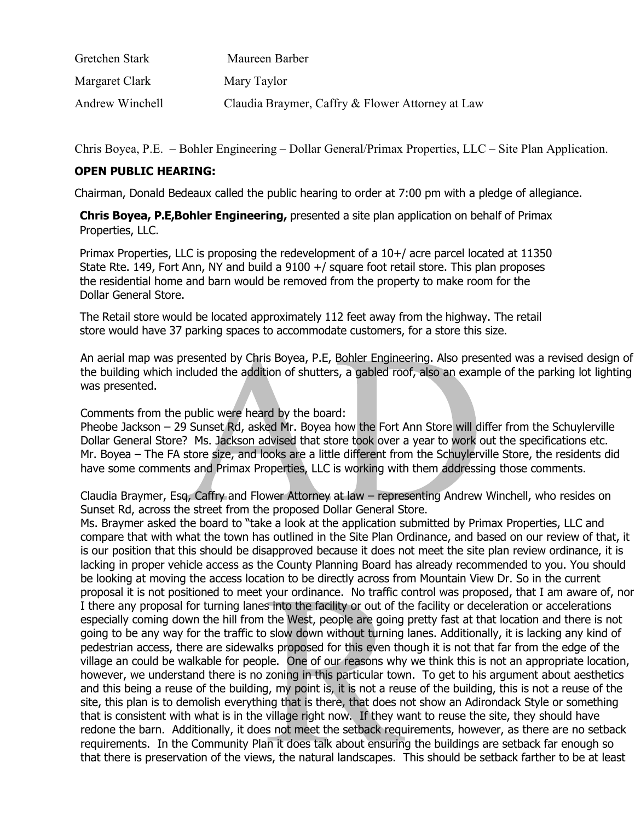| Gretchen Stark  | Maureen Barber                                   |
|-----------------|--------------------------------------------------|
| Margaret Clark  | Mary Taylor                                      |
| Andrew Winchell | Claudia Braymer, Caffry & Flower Attorney at Law |

Chris Boyea, P.E. – Bohler Engineering – Dollar General/Primax Properties, LLC – Site Plan Application.

# **OPEN PUBLIC HEARING:**

Chairman, Donald Bedeaux called the public hearing to order at 7:00 pm with a pledge of allegiance.

**Chris Boyea, P.E,Bohler Engineering,** presented a site plan application on behalf of Primax Properties, LLC.

Primax Properties, LLC is proposing the redevelopment of a 10+/ acre parcel located at 11350 State Rte. 149, Fort Ann, NY and build a 9100 +/ square foot retail store. This plan proposes the residential home and barn would be removed from the property to make room for the Dollar General Store.

The Retail store would be located approximately 112 feet away from the highway. The retail store would have 37 parking spaces to accommodate customers, for a store this size.

An aerial map was presented by Chris Boyea, P.E, Bohler Engineering. Also presented was a revised design of the building which included the addition of shutters, a gabled roof, also an example of the parking lot lighting was presented.

Comments from the public were heard by the board:

Pheobe Jackson – 29 Sunset Rd, asked Mr. Boyea how the Fort Ann Store will differ from the Schuylerville Dollar General Store? Ms. Jackson advised that store took over a year to work out the specifications etc. Mr. Boyea – The FA store size, and looks are a little different from the Schuylerville Store, the residents did have some comments and Primax Properties, LLC is working with them addressing those comments.

Claudia Braymer, Esq, Caffry and Flower Attorney at law – representing Andrew Winchell, who resides on Sunset Rd, across the street from the proposed Dollar General Store.

Ms. Braymer asked the board to "take a look at the application submitted by Primax Properties, LLC and compare that with what the town has outlined in the Site Plan Ordinance, and based on our review of that, it is our position that this should be disapproved because it does not meet the site plan review ordinance, it is lacking in proper vehicle access as the County Planning Board has already recommended to you. You should be looking at moving the access location to be directly across from Mountain View Dr. So in the current proposal it is not positioned to meet your ordinance. No traffic control was proposed, that I am aware of, nor I there any proposal for turning lanes into the facility or out of the facility or deceleration or accelerations especially coming down the hill from the West, people are going pretty fast at that location and there is not going to be any way for the traffic to slow down without turning lanes. Additionally, it is lacking any kind of pedestrian access, there are sidewalks proposed for this even though it is not that far from the edge of the village an could be walkable for people. One of our reasons why we think this is not an appropriate location, however, we understand there is no zoning in this particular town. To get to his argument about aesthetics and this being a reuse of the building, my point is, it is not a reuse of the building, this is not a reuse of the site, this plan is to demolish everything that is there, that does not show an Adirondack Style or something that is consistent with what is in the village right now. If they want to reuse the site, they should have redone the barn. Additionally, it does not meet the setback requirements, however, as there are no setback requirements. In the Community Plan it does talk about ensuring the buildings are setback far enough so that there is preservation of the views, the natural landscapes. This should be setback farther to be at least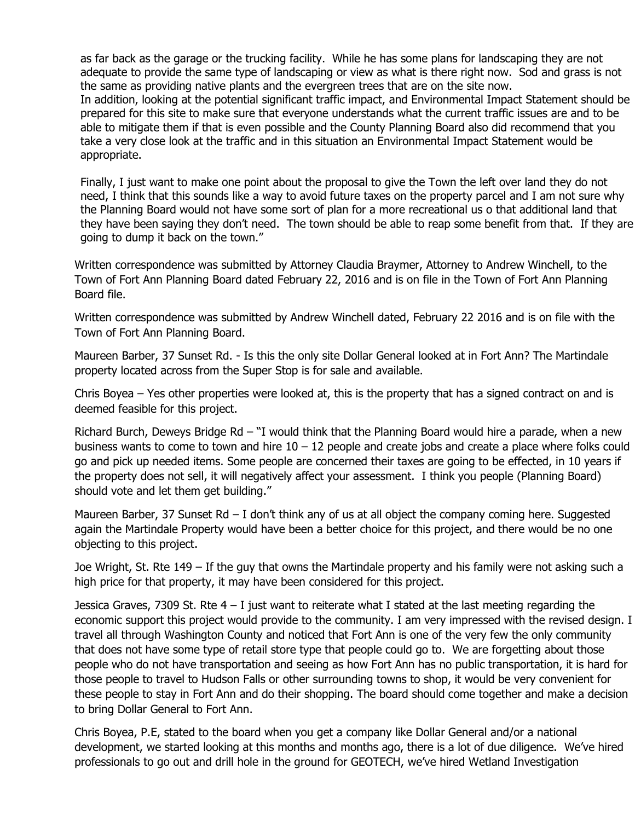as far back as the garage or the trucking facility. While he has some plans for landscaping they are not adequate to provide the same type of landscaping or view as what is there right now. Sod and grass is not the same as providing native plants and the evergreen trees that are on the site now.

In addition, looking at the potential significant traffic impact, and Environmental Impact Statement should be prepared for this site to make sure that everyone understands what the current traffic issues are and to be able to mitigate them if that is even possible and the County Planning Board also did recommend that you take a very close look at the traffic and in this situation an Environmental Impact Statement would be appropriate.

Finally, I just want to make one point about the proposal to give the Town the left over land they do not need, I think that this sounds like a way to avoid future taxes on the property parcel and I am not sure why the Planning Board would not have some sort of plan for a more recreational us o that additional land that they have been saying they don't need. The town should be able to reap some benefit from that. If they are going to dump it back on the town."

Written correspondence was submitted by Attorney Claudia Braymer, Attorney to Andrew Winchell, to the Town of Fort Ann Planning Board dated February 22, 2016 and is on file in the Town of Fort Ann Planning Board file.

Written correspondence was submitted by Andrew Winchell dated, February 22 2016 and is on file with the Town of Fort Ann Planning Board.

Maureen Barber, 37 Sunset Rd. - Is this the only site Dollar General looked at in Fort Ann? The Martindale property located across from the Super Stop is for sale and available.

Chris Boyea – Yes other properties were looked at, this is the property that has a signed contract on and is deemed feasible for this project.

Richard Burch, Deweys Bridge Rd – "I would think that the Planning Board would hire a parade, when a new business wants to come to town and hire  $10 - 12$  people and create jobs and create a place where folks could go and pick up needed items. Some people are concerned their taxes are going to be effected, in 10 years if the property does not sell, it will negatively affect your assessment. I think you people (Planning Board) should vote and let them get building."

Maureen Barber, 37 Sunset Rd – I don't think any of us at all object the company coming here. Suggested again the Martindale Property would have been a better choice for this project, and there would be no one objecting to this project.

Joe Wright, St. Rte 149 – If the guy that owns the Martindale property and his family were not asking such a high price for that property, it may have been considered for this project.

Jessica Graves, 7309 St. Rte  $4 - I$  just want to reiterate what I stated at the last meeting regarding the economic support this project would provide to the community. I am very impressed with the revised design. I travel all through Washington County and noticed that Fort Ann is one of the very few the only community that does not have some type of retail store type that people could go to. We are forgetting about those people who do not have transportation and seeing as how Fort Ann has no public transportation, it is hard for those people to travel to Hudson Falls or other surrounding towns to shop, it would be very convenient for these people to stay in Fort Ann and do their shopping. The board should come together and make a decision to bring Dollar General to Fort Ann.

Chris Boyea, P.E, stated to the board when you get a company like Dollar General and/or a national development, we started looking at this months and months ago, there is a lot of due diligence. We've hired professionals to go out and drill hole in the ground for GEOTECH, we've hired Wetland Investigation